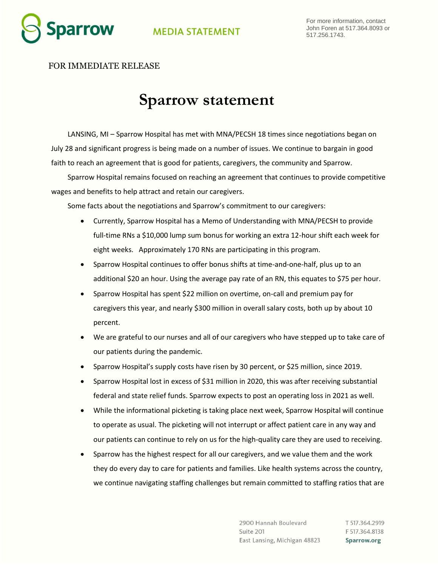

## **MEDIA STATEMENT**

## FOR IMMEDIATE RELEASE

## **Sparrow statement**

LANSING, MI – Sparrow Hospital has met with MNA/PECSH 18 times since negotiations began on July 28 and significant progress is being made on a number of issues. We continue to bargain in good faith to reach an agreement that is good for patients, caregivers, the community and Sparrow.

Sparrow Hospital remains focused on reaching an agreement that continues to provide competitive wages and benefits to help attract and retain our caregivers.

Some facts about the negotiations and Sparrow's commitment to our caregivers:

- Currently, Sparrow Hospital has a Memo of Understanding with MNA/PECSH to provide full-time RNs a \$10,000 lump sum bonus for working an extra 12-hour shift each week for eight weeks. Approximately 170 RNs are participating in this program.
- Sparrow Hospital continues to offer bonus shifts at time-and-one-half, plus up to an additional \$20 an hour. Using the average pay rate of an RN, this equates to \$75 per hour.
- Sparrow Hospital has spent \$22 million on overtime, on-call and premium pay for caregivers this year, and nearly \$300 million in overall salary costs, both up by about 10 percent.
- We are grateful to our nurses and all of our caregivers who have stepped up to take care of our patients during the pandemic.
- Sparrow Hospital's supply costs have risen by 30 percent, or \$25 million, since 2019.
- Sparrow Hospital lost in excess of \$31 million in 2020, this was after receiving substantial federal and state relief funds. Sparrow expects to post an operating loss in 2021 as well.
- While the informational picketing is taking place next week, Sparrow Hospital will continue to operate as usual. The picketing will not interrupt or affect patient care in any way and our patients can continue to rely on us for the high-quality care they are used to receiving.
- Sparrow has the highest respect for all our caregivers, and we value them and the work they do every day to care for patients and families. Like health systems across the country, we continue navigating staffing challenges but remain committed to staffing ratios that are